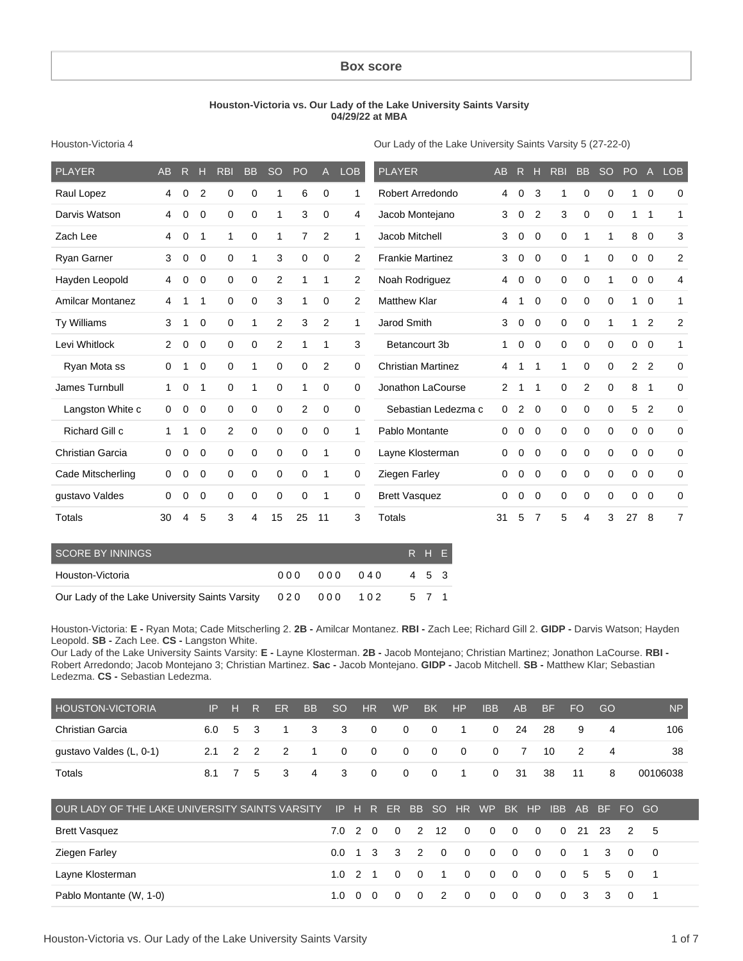#### **Box score**

#### **Houston-Victoria vs. Our Lady of the Lake University Saints Varsity 04/29/22 at MBA**

Houston-Victoria 4

Our Lady of the Lake University Saints Varsity 5 (27-22-0)

| <b>PLAYER</b>           | AB       | R.       | н              | <b>RBI</b>  | <b>BB</b>   | <b>SO</b>   | <b>PO</b>   | $\mathsf{A}$   | <b>LOB</b>     | <b>PLAYER</b>             | AB             | R.             | н              | <b>RBI</b> | B <sub>B</sub> | <sub>SO</sub> | PO A           |                | <b>LOB</b>     |
|-------------------------|----------|----------|----------------|-------------|-------------|-------------|-------------|----------------|----------------|---------------------------|----------------|----------------|----------------|------------|----------------|---------------|----------------|----------------|----------------|
| Raul Lopez              | 4        | $\Omega$ | $\overline{2}$ | 0           | $\mathbf 0$ | 1           | 6           | 0              | 1              | Robert Arredondo          | 4              | 0              | 3              | 1          | 0              | 0             |                | $\mathbf 0$    | 0              |
| Darvis Watson           | 4        | 0        | 0              | 0           | 0           | 1           | 3           | $\mathbf 0$    | 4              | Jacob Montejano           | 3              | 0              | $\overline{2}$ | 3          | $\mathbf 0$    | $\mathbf 0$   | 1              | 1              | 1              |
| Zach Lee                | 4        | 0        | 1              | 1           | $\Omega$    | 1           | 7           | $\overline{2}$ | 1              | Jacob Mitchell            | 3              | 0              | $\Omega$       | 0          | 1              | 1             | 8              | 0              | 3              |
| <b>Ryan Garner</b>      | 3        | 0        | 0              | 0           | 1           | 3           | 0           | 0              | $\overline{2}$ | <b>Frankie Martinez</b>   | 3              | 0              | 0              | 0          | 1              | 0             | 0              | $\mathbf 0$    | 2              |
| Hayden Leopold          | 4        | 0        | 0              | 0           | 0           | 2           | 1           | $\mathbf{1}$   | 2              | Noah Rodriguez            | 4              | 0              | 0              | 0          | $\mathbf 0$    | 1             | 0              | $\mathbf 0$    | $\overline{4}$ |
| <b>Amilcar Montanez</b> | 4        |          | 1              | $\Omega$    | 0           | 3           | 1           | 0              | 2              | <b>Matthew Klar</b>       | 4              | 1              | 0              | 0          | 0              | $\Omega$      | $\mathbf{1}$   | $\overline{0}$ | 1              |
| <b>Ty Williams</b>      | 3        |          | 0              | 0           | 1           | 2           | 3           | 2              | 1              | Jarod Smith               | 3              | 0              | 0              | 0          | $\mathbf 0$    | 1             | 1              | $\overline{2}$ | 2              |
| Levi Whitlock           | 2        | $\Omega$ | $\Omega$       | $\Omega$    | 0           | 2           | 1           | 1              | 3              | Betancourt 3b             | 1              | 0              | $\Omega$       | 0          | 0              | $\mathbf 0$   | 0              | $\Omega$       | 1              |
| Ryan Mota ss            | 0        |          | $\Omega$       | $\Omega$    | 1           | 0           | $\mathbf 0$ | $\overline{2}$ | $\mathbf 0$    | <b>Christian Martinez</b> | 4              | 1              | -1             | 1          | $\Omega$       | $\mathbf 0$   | $\overline{2}$ | $\overline{2}$ | 0              |
| James Turnbull          | 1        | 0        | $\mathbf 1$    | $\Omega$    | 1           | $\mathbf 0$ | 1           | $\Omega$       | 0              | Jonathon LaCourse         | $\overline{2}$ | 1              | $\mathbf 1$    | 0          | 2              | 0             | 8              | 1              | $\mathbf 0$    |
| Langston White c        | 0        | 0        | 0              | 0           | 0           | 0           | 2           | 0              | 0              | Sebastian Ledezma c       | 0              | $\overline{2}$ | $\mathbf 0$    | 0          | 0              | 0             | 5              | 2              | $\mathbf 0$    |
| Richard Gill c          | 1        |          | 0              | 2           | $\mathbf 0$ | $\mathbf 0$ | $\mathbf 0$ | $\mathbf 0$    | 1              | Pablo Montante            | 0              | 0              | 0              | 0          | 0              | 0             | 0              | $\overline{0}$ | $\mathbf 0$    |
| <b>Christian Garcia</b> | 0        | 0        | 0              | $\mathbf 0$ | 0           | $\mathbf 0$ | 0           | 1              | 0              | Layne Klosterman          | 0              | 0              | 0              | 0          | 0              | 0             | 0              | $\overline{0}$ | $\mathbf 0$    |
| Cade Mitscherling       | 0        | 0        | 0              | 0           | 0           | 0           | 0           | $\mathbf 1$    | 0              | Ziegen Farley             | 0              | 0              | 0              | 0          | 0              | $\mathbf 0$   | 0              | $\overline{0}$ | $\mathbf 0$    |
| qustavo Valdes          | $\Omega$ | 0        | $\Omega$       | $\Omega$    | 0           | $\mathbf 0$ | $\Omega$    | 1              | 0              | <b>Brett Vasquez</b>      | 0              | 0              | $\Omega$       | 0          | $\Omega$       | $\Omega$      | 0              | $\Omega$       | $\mathbf 0$    |
| Totals                  | 30       | 4        | 5              | 3           | 4           | 15          | 25          | 11             | 3              | Totals                    | 31             | 5              | 7              | 5          | 4              | 3             | 27             | 8              | $\overline{7}$ |

| SCORE BY INNINGS                                           |             |       | R H E |  |
|------------------------------------------------------------|-------------|-------|-------|--|
| Houston-Victoria                                           | 000 000 040 | 4 5 3 |       |  |
| Our Lady of the Lake University Saints Varsity 020 000 102 |             | 5 7 1 |       |  |

Houston-Victoria: **E -** Ryan Mota; Cade Mitscherling 2. **2B -** Amilcar Montanez. **RBI -** Zach Lee; Richard Gill 2. **GIDP -** Darvis Watson; Hayden Leopold. **SB -** Zach Lee. **CS -** Langston White.

Our Lady of the Lake University Saints Varsity: **E -** Layne Klosterman. **2B -** Jacob Montejano; Christian Martinez; Jonathon LaCourse. **RBI -** Robert Arredondo; Jacob Montejano 3; Christian Martinez. **Sac -** Jacob Montejano. **GIDP -** Jacob Mitchell. **SB -** Matthew Klar; Sebastian Ledezma. **CS -** Sebastian Ledezma.

| <b>HOUSTON-VICTORIA</b> |  | IP H R ER |  | BB SO HR WP |                       | BK HP | IBB AB BF                        |  | <b>FO</b>      | - GO           | NP       |
|-------------------------|--|-----------|--|-------------|-----------------------|-------|----------------------------------|--|----------------|----------------|----------|
| Christian Garcia        |  |           |  |             |                       |       | 6.0 5 3 1 3 3 0 0 0 1 0 24 28    |  | - 9            |                | 106      |
| gustavo Valdes (L, 0-1) |  |           |  |             | 2.1 2 2 2 1 0 0 0 0 0 |       | 0 7 10                           |  | $\overline{2}$ |                | 38       |
| Totals                  |  |           |  |             |                       |       | 8.1 7 5 3 4 3 0 0 0 1 0 31 38 11 |  |                | 8 <sup>1</sup> | 00106038 |

| OUR LADY OF THE LAKE UNIVERSITY SAINTS VARSITY IP H R ER BB SO HR WP BK HP IBB AB BF FO GO |  |  |  |  |  |                                    |  |  |  |
|--------------------------------------------------------------------------------------------|--|--|--|--|--|------------------------------------|--|--|--|
| <b>Brett Vasquez</b>                                                                       |  |  |  |  |  | 7.0 2 0 0 2 12 0 0 0 0 0 21 23 2 5 |  |  |  |
| Ziegen Farley                                                                              |  |  |  |  |  | 0.0 1 3 3 2 0 0 0 0 0 0 1 3 0 0    |  |  |  |
| Layne Klosterman                                                                           |  |  |  |  |  | 1.0 2 1 0 0 1 0 0 0 0 0 0 5 5 0 1  |  |  |  |
| Pablo Montante (W, 1-0)                                                                    |  |  |  |  |  | 1.0 0 0 0 0 2 0 0 0 0 0 0 3 3 0 1  |  |  |  |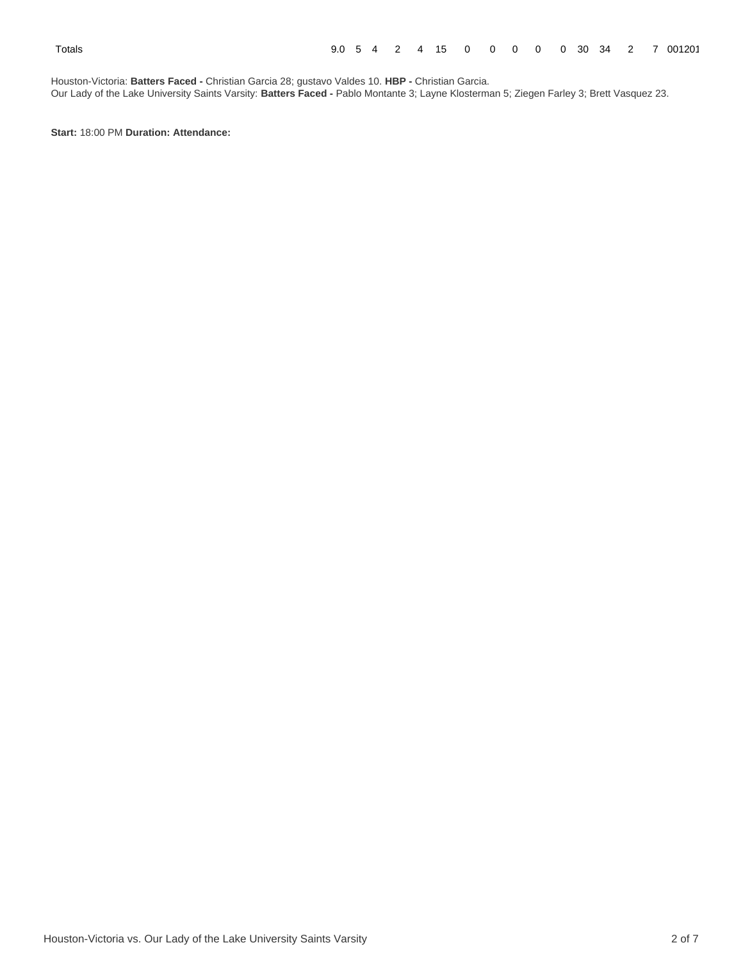Houston-Victoria: **Batters Faced -** Christian Garcia 28; gustavo Valdes 10. **HBP -** Christian Garcia. Our Lady of the Lake University Saints Varsity: **Batters Faced -** Pablo Montante 3; Layne Klosterman 5; Ziegen Farley 3; Brett Vasquez 23.

**Start:** 18:00 PM **Duration: Attendance:**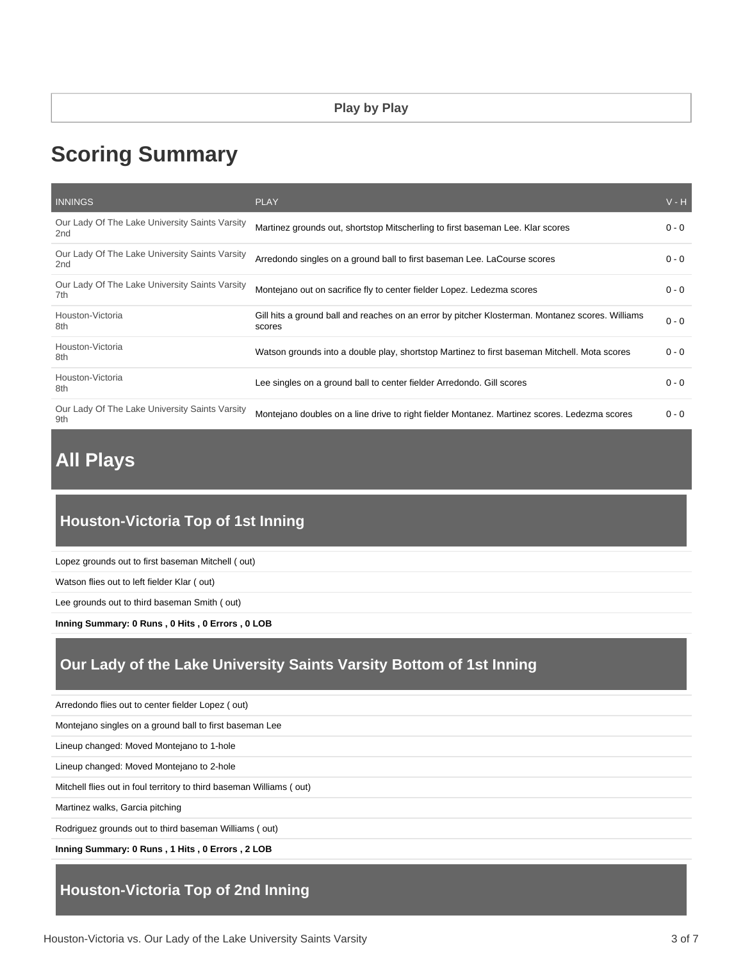# **Scoring Summary**

| <b>INNINGS</b>                                        | <b>PLAY</b>                                                                                                | $V - H$ |
|-------------------------------------------------------|------------------------------------------------------------------------------------------------------------|---------|
| Our Lady Of The Lake University Saints Varsity<br>2nd | Martinez grounds out, shortstop Mitscherling to first baseman Lee. Klar scores                             | $0 - 0$ |
| Our Lady Of The Lake University Saints Varsity<br>2nd | Arredondo singles on a ground ball to first baseman Lee. LaCourse scores                                   | $0 - 0$ |
| Our Lady Of The Lake University Saints Varsity<br>7th | Montejano out on sacrifice fly to center fielder Lopez. Ledezma scores                                     | $0 - 0$ |
| Houston-Victoria<br>8th                               | Gill hits a ground ball and reaches on an error by pitcher Klosterman. Montanez scores. Williams<br>scores | $0 - 0$ |
| Houston-Victoria<br>8th                               | Watson grounds into a double play, shortstop Martinez to first baseman Mitchell. Mota scores               | $0 - 0$ |
| Houston-Victoria<br>8th                               | Lee singles on a ground ball to center fielder Arredondo. Gill scores                                      | $0 - 0$ |
| Our Lady Of The Lake University Saints Varsity<br>9th | Montejano doubles on a line drive to right fielder Montanez. Martinez scores. Ledezma scores               | $0 - 0$ |

# **All Plays**

# **Houston-Victoria Top of 1st Inning**

Lopez grounds out to first baseman Mitchell ( out)

Watson flies out to left fielder Klar ( out)

Lee grounds out to third baseman Smith ( out)

**Inning Summary: 0 Runs , 0 Hits , 0 Errors , 0 LOB**

# **Our Lady of the Lake University Saints Varsity Bottom of 1st Inning**

Arredondo flies out to center fielder Lopez ( out)

Montejano singles on a ground ball to first baseman Lee

Lineup changed: Moved Montejano to 1-hole

Lineup changed: Moved Montejano to 2-hole

Mitchell flies out in foul territory to third baseman Williams ( out)

Martinez walks, Garcia pitching

Rodriguez grounds out to third baseman Williams ( out)

**Inning Summary: 0 Runs , 1 Hits , 0 Errors , 2 LOB**

# **Houston-Victoria Top of 2nd Inning**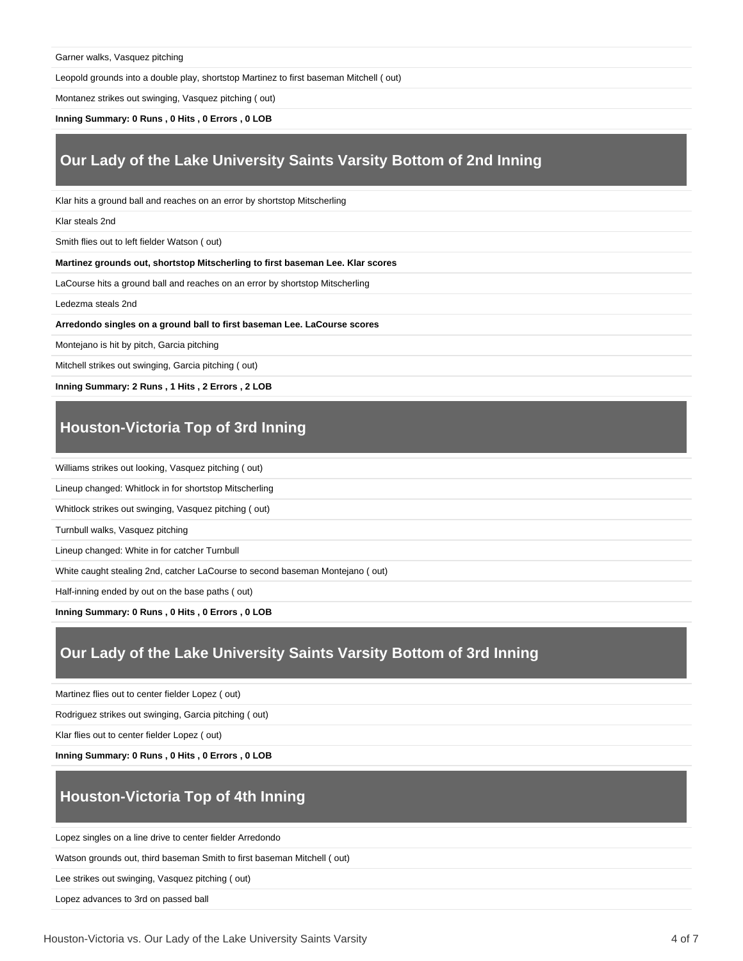Garner walks, Vasquez pitching

Leopold grounds into a double play, shortstop Martinez to first baseman Mitchell ( out)

Montanez strikes out swinging, Vasquez pitching ( out)

**Inning Summary: 0 Runs , 0 Hits , 0 Errors , 0 LOB**

## **Our Lady of the Lake University Saints Varsity Bottom of 2nd Inning**

Klar hits a ground ball and reaches on an error by shortstop Mitscherling

Klar steals 2nd

Smith flies out to left fielder Watson ( out)

**Martinez grounds out, shortstop Mitscherling to first baseman Lee. Klar scores**

LaCourse hits a ground ball and reaches on an error by shortstop Mitscherling

Ledezma steals 2nd

**Arredondo singles on a ground ball to first baseman Lee. LaCourse scores**

Montejano is hit by pitch, Garcia pitching

Mitchell strikes out swinging, Garcia pitching ( out)

**Inning Summary: 2 Runs , 1 Hits , 2 Errors , 2 LOB**

# **Houston-Victoria Top of 3rd Inning**

Williams strikes out looking, Vasquez pitching ( out)

Lineup changed: Whitlock in for shortstop Mitscherling

Whitlock strikes out swinging, Vasquez pitching ( out)

Turnbull walks, Vasquez pitching

Lineup changed: White in for catcher Turnbull

White caught stealing 2nd, catcher LaCourse to second baseman Montejano ( out)

Half-inning ended by out on the base paths ( out)

**Inning Summary: 0 Runs , 0 Hits , 0 Errors , 0 LOB**

# **Our Lady of the Lake University Saints Varsity Bottom of 3rd Inning**

Martinez flies out to center fielder Lopez ( out)

Rodriguez strikes out swinging, Garcia pitching ( out)

Klar flies out to center fielder Lopez ( out)

**Inning Summary: 0 Runs , 0 Hits , 0 Errors , 0 LOB**

# **Houston-Victoria Top of 4th Inning**

Lopez singles on a line drive to center fielder Arredondo

Watson grounds out, third baseman Smith to first baseman Mitchell ( out)

Lee strikes out swinging, Vasquez pitching ( out)

Lopez advances to 3rd on passed ball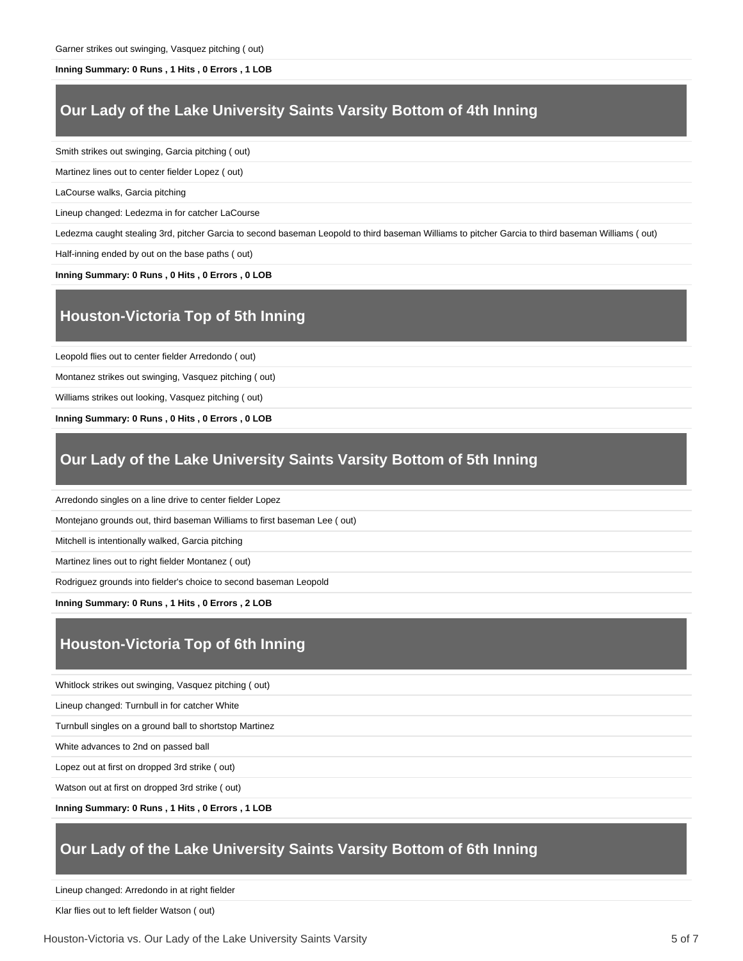#### **Inning Summary: 0 Runs , 1 Hits , 0 Errors , 1 LOB**

#### **Our Lady of the Lake University Saints Varsity Bottom of 4th Inning**

Smith strikes out swinging, Garcia pitching ( out)

Martinez lines out to center fielder Lopez ( out)

LaCourse walks, Garcia pitching

Lineup changed: Ledezma in for catcher LaCourse

Ledezma caught stealing 3rd, pitcher Garcia to second baseman Leopold to third baseman Williams to pitcher Garcia to third baseman Williams ( out)

Half-inning ended by out on the base paths ( out)

**Inning Summary: 0 Runs , 0 Hits , 0 Errors , 0 LOB**

### **Houston-Victoria Top of 5th Inning**

Leopold flies out to center fielder Arredondo ( out)

Montanez strikes out swinging, Vasquez pitching ( out)

Williams strikes out looking, Vasquez pitching ( out)

**Inning Summary: 0 Runs , 0 Hits , 0 Errors , 0 LOB**

### **Our Lady of the Lake University Saints Varsity Bottom of 5th Inning**

Arredondo singles on a line drive to center fielder Lopez

Montejano grounds out, third baseman Williams to first baseman Lee ( out)

Mitchell is intentionally walked, Garcia pitching

Martinez lines out to right fielder Montanez ( out)

Rodriguez grounds into fielder's choice to second baseman Leopold

**Inning Summary: 0 Runs , 1 Hits , 0 Errors , 2 LOB**

# **Houston-Victoria Top of 6th Inning**

Whitlock strikes out swinging, Vasquez pitching ( out)

Lineup changed: Turnbull in for catcher White

Turnbull singles on a ground ball to shortstop Martinez

White advances to 2nd on passed ball

Lopez out at first on dropped 3rd strike ( out)

Watson out at first on dropped 3rd strike ( out)

**Inning Summary: 0 Runs , 1 Hits , 0 Errors , 1 LOB**

#### **Our Lady of the Lake University Saints Varsity Bottom of 6th Inning**

Lineup changed: Arredondo in at right fielder

Klar flies out to left fielder Watson ( out)

Houston-Victoria vs. Our Lady of the Lake University Saints Varsity 5 of 7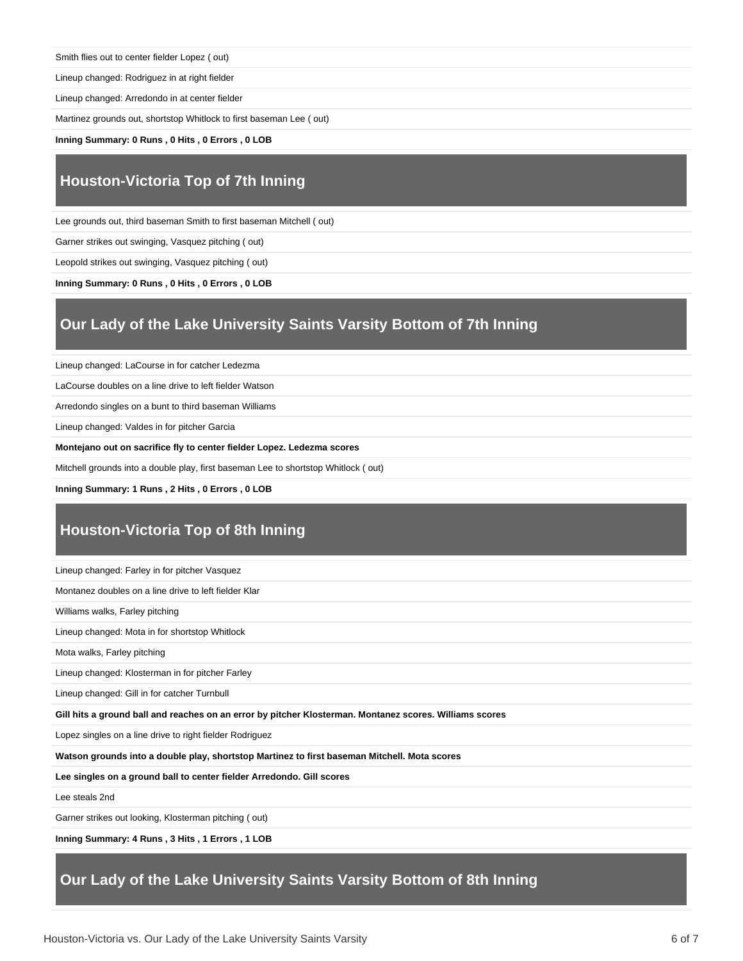Smith flies out to center fielder Lopez ( out)

Lineup changed: Rodriguez in at right fielder

Lineup changed: Arredondo in at center fielder

Martinez grounds out, shortstop Whitlock to first baseman Lee ( out)

**Inning Summary: 0 Runs , 0 Hits , 0 Errors , 0 LOB**

# **Houston-Victoria Top of 7th Inning**

Lee grounds out, third baseman Smith to first baseman Mitchell ( out)

Garner strikes out swinging, Vasquez pitching ( out)

Leopold strikes out swinging, Vasquez pitching ( out)

**Inning Summary: 0 Runs , 0 Hits , 0 Errors , 0 LOB**

## **Our Lady of the Lake University Saints Varsity Bottom of 7th Inning**

Lineup changed: LaCourse in for catcher Ledezma

LaCourse doubles on a line drive to left fielder Watson

Arredondo singles on a bunt to third baseman Williams

Lineup changed: Valdes in for pitcher Garcia

**Montejano out on sacrifice fly to center fielder Lopez. Ledezma scores**

Mitchell grounds into a double play, first baseman Lee to shortstop Whitlock ( out)

**Inning Summary: 1 Runs , 2 Hits , 0 Errors , 0 LOB**

# **Houston-Victoria Top of 8th Inning**

Lineup changed: Farley in for pitcher Vasquez

Montanez doubles on a line drive to left fielder Klar

Williams walks, Farley pitching

Lineup changed: Mota in for shortstop Whitlock

Mota walks, Farley pitching

Lineup changed: Klosterman in for pitcher Farley

Lineup changed: Gill in for catcher Turnbull

**Gill hits a ground ball and reaches on an error by pitcher Klosterman. Montanez scores. Williams scores**

Lopez singles on a line drive to right fielder Rodriguez

**Watson grounds into a double play, shortstop Martinez to first baseman Mitchell. Mota scores**

**Lee singles on a ground ball to center fielder Arredondo. Gill scores**

Lee steals 2nd

Garner strikes out looking, Klosterman pitching ( out)

**Inning Summary: 4 Runs , 3 Hits , 1 Errors , 1 LOB**

## **Our Lady of the Lake University Saints Varsity Bottom of 8th Inning**